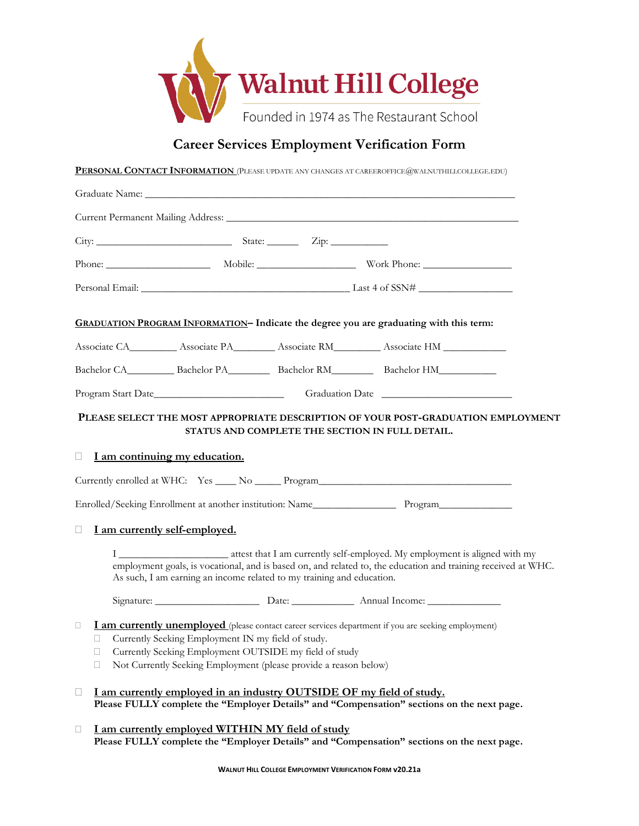

## **Career Services Employment Verification Form**

**PERSONAL CONTACT INFORMATION** (PLEASE UPDATE ANY CHANGES AT CAREEROFFICE@WALNUTHILLCOLLEGE.EDU)

|                    |                                                                                                                                                                                                                                                                                           | Graduate Name: La Communication of the Communication of the Communication of the Communication of the Communication of the Communication of the Communication of the Communication of the Communication of the Communication o |  |  |                                                                                                            |  |  |  |
|--------------------|-------------------------------------------------------------------------------------------------------------------------------------------------------------------------------------------------------------------------------------------------------------------------------------------|--------------------------------------------------------------------------------------------------------------------------------------------------------------------------------------------------------------------------------|--|--|------------------------------------------------------------------------------------------------------------|--|--|--|
|                    |                                                                                                                                                                                                                                                                                           |                                                                                                                                                                                                                                |  |  |                                                                                                            |  |  |  |
|                    |                                                                                                                                                                                                                                                                                           |                                                                                                                                                                                                                                |  |  |                                                                                                            |  |  |  |
|                    |                                                                                                                                                                                                                                                                                           |                                                                                                                                                                                                                                |  |  |                                                                                                            |  |  |  |
|                    |                                                                                                                                                                                                                                                                                           |                                                                                                                                                                                                                                |  |  |                                                                                                            |  |  |  |
|                    |                                                                                                                                                                                                                                                                                           |                                                                                                                                                                                                                                |  |  | GRADUATION PROGRAM INFORMATION- Indicate the degree you are graduating with this term:                     |  |  |  |
|                    |                                                                                                                                                                                                                                                                                           |                                                                                                                                                                                                                                |  |  |                                                                                                            |  |  |  |
|                    |                                                                                                                                                                                                                                                                                           |                                                                                                                                                                                                                                |  |  | Bachelor CA____________ Bachelor PA_____________ Bachelor RM_____________ Bachelor HM______________        |  |  |  |
| Program Start Date |                                                                                                                                                                                                                                                                                           |                                                                                                                                                                                                                                |  |  |                                                                                                            |  |  |  |
| П                  |                                                                                                                                                                                                                                                                                           |                                                                                                                                                                                                                                |  |  | Enrolled/Seeking Enrollment at another institution: Name_________________________ Program_________________ |  |  |  |
|                    | I am currently self-employed.<br>employment goals, is vocational, and is based on, and related to, the education and training received at WHC.<br>As such, I am earning an income related to my training and education.<br>Signature: Date: <u>Date:</u> Annual Income:                   |                                                                                                                                                                                                                                |  |  |                                                                                                            |  |  |  |
| □                  | I am currently unemployed (please contact career services department if you are seeking employment)<br>Currently Seeking Employment IN my field of study.<br>□ Currently Seeking Employment OUTSIDE my field of study<br>Not Currently Seeking Employment (please provide a reason below) |                                                                                                                                                                                                                                |  |  |                                                                                                            |  |  |  |
| $\Box$             |                                                                                                                                                                                                                                                                                           | I am currently employed in an industry OUTSIDE OF my field of study.                                                                                                                                                           |  |  | Please FULLY complete the "Employer Details" and "Compensation" sections on the next page.                 |  |  |  |
| $\Box$             |                                                                                                                                                                                                                                                                                           | I am currently employed WITHIN MY field of study                                                                                                                                                                               |  |  | Please FULLY complete the "Employer Details" and "Compensation" sections on the next page.                 |  |  |  |